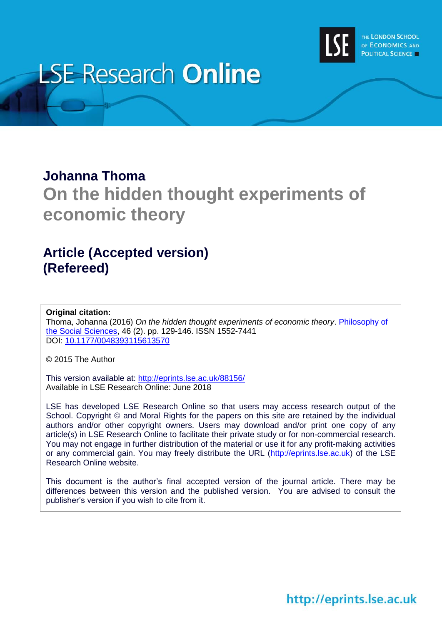

# **LSE Research Online**

### **Johanna Thoma**

# **On the hidden thought experiments of economic theory**

# **Article (Accepted version) (Refereed)**

#### **Original citation:**

Thoma, Johanna (2016) *On the hidden thought experiments of economic theory*. [Philosophy of](http://journals.sagepub.com/home/pos)  [the Social Sciences,](http://journals.sagepub.com/home/pos) 46 (2). pp. 129-146. ISSN 1552-7441 DOI: [10.1177/0048393115613570](http://doi.org/10.1177/0048393115613570)

© 2015 The Author

This version available at:<http://eprints.lse.ac.uk/88156/> Available in LSE Research Online: June 2018

LSE has developed LSE Research Online so that users may access research output of the School. Copyright © and Moral Rights for the papers on this site are retained by the individual authors and/or other copyright owners. Users may download and/or print one copy of any article(s) in LSE Research Online to facilitate their private study or for non-commercial research. You may not engage in further distribution of the material or use it for any profit-making activities or any commercial gain. You may freely distribute the URL (http://eprints.lse.ac.uk) of the LSE Research Online website.

This document is the author's final accepted version of the journal article. There may be differences between this version and the published version. You are advised to consult the publisher's version if you wish to cite from it.

http://eprints.lse.ac.uk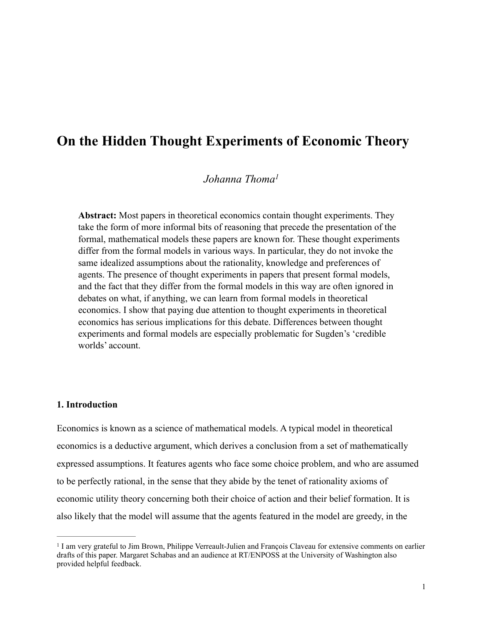## **On the Hidden Thought Experiments of Economic Theory**

#### *Johanna Thoma1*

**Abstract:** Most papers in theoretical economics contain thought experiments. They take the form of more informal bits of reasoning that precede the presentation of the formal, mathematical models these papers are known for. These thought experiments differ from the formal models in various ways. In particular, they do not invoke the same idealized assumptions about the rationality, knowledge and preferences of agents. The presence of thought experiments in papers that present formal models, and the fact that they differ from the formal models in this way are often ignored in debates on what, if anything, we can learn from formal models in theoretical economics. I show that paying due attention to thought experiments in theoretical economics has serious implications for this debate. Differences between thought experiments and formal models are especially problematic for Sugden's 'credible worlds' account.

#### **1. Introduction**

Economics is known as a science of mathematical models. A typical model in theoretical economics is a deductive argument, which derives a conclusion from a set of mathematically expressed assumptions. It features agents who face some choice problem, and who are assumed to be perfectly rational, in the sense that they abide by the tenet of rationality axioms of economic utility theory concerning both their choice of action and their belief formation. It is also likely that the model will assume that the agents featured in the model are greedy, in the

<sup>&</sup>lt;sup>1</sup> I am very grateful to Jim Brown, Philippe Verreault-Julien and François Claveau for extensive comments on earlier drafts of this paper. Margaret Schabas and an audience at RT/ENPOSS at the University of Washington also provided helpful feedback.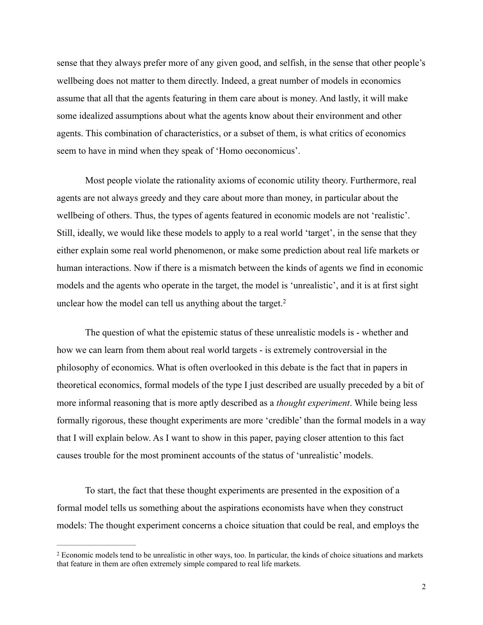sense that they always prefer more of any given good, and selfish, in the sense that other people's wellbeing does not matter to them directly. Indeed, a great number of models in economics assume that all that the agents featuring in them care about is money. And lastly, it will make some idealized assumptions about what the agents know about their environment and other agents. This combination of characteristics, or a subset of them, is what critics of economics seem to have in mind when they speak of 'Homo oeconomicus'.

 Most people violate the rationality axioms of economic utility theory. Furthermore, real agents are not always greedy and they care about more than money, in particular about the wellbeing of others. Thus, the types of agents featured in economic models are not 'realistic'. Still, ideally, we would like these models to apply to a real world 'target', in the sense that they either explain some real world phenomenon, or make some prediction about real life markets or human interactions. Now if there is a mismatch between the kinds of agents we find in economic models and the agents who operate in the target, the model is 'unrealistic', and it is at first sight unclear how the model can tell us anything about the target.<sup>2</sup>

 The question of what the epistemic status of these unrealistic models is - whether and how we can learn from them about real world targets - is extremely controversial in the philosophy of economics. What is often overlooked in this debate is the fact that in papers in theoretical economics, formal models of the type I just described are usually preceded by a bit of more informal reasoning that is more aptly described as a *thought experiment*. While being less formally rigorous, these thought experiments are more 'credible' than the formal models in a way that I will explain below. As I want to show in this paper, paying closer attention to this fact causes trouble for the most prominent accounts of the status of 'unrealistic' models.

 To start, the fact that these thought experiments are presented in the exposition of a formal model tells us something about the aspirations economists have when they construct models: The thought experiment concerns a choice situation that could be real, and employs the

<sup>&</sup>lt;sup>2</sup> Economic models tend to be unrealistic in other ways, too. In particular, the kinds of choice situations and markets that feature in them are often extremely simple compared to real life markets.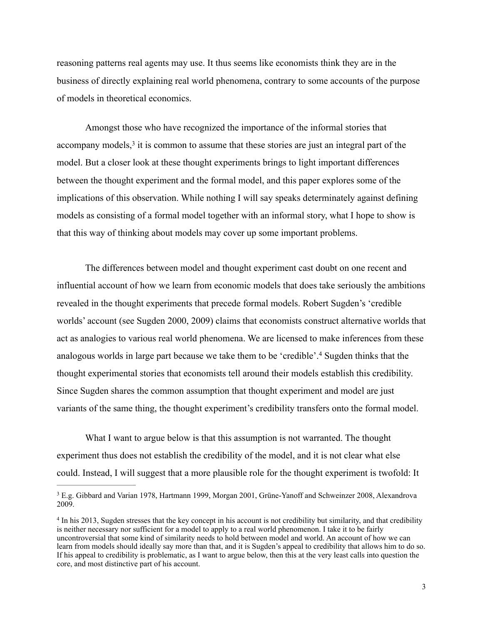reasoning patterns real agents may use. It thus seems like economists think they are in the business of directly explaining real world phenomena, contrary to some accounts of the purpose of models in theoretical economics.

 Amongst those who have recognized the importance of the informal stories that accompany models, $3$  it is common to assume that these stories are just an integral part of the model. But a closer look at these thought experiments brings to light important differences between the thought experiment and the formal model, and this paper explores some of the implications of this observation. While nothing I will say speaks determinately against defining models as consisting of a formal model together with an informal story, what I hope to show is that this way of thinking about models may cover up some important problems.

 The differences between model and thought experiment cast doubt on one recent and influential account of how we learn from economic models that does take seriously the ambitions revealed in the thought experiments that precede formal models. Robert Sugden's 'credible worlds' account (see Sugden 2000, 2009) claims that economists construct alternative worlds that act as analogies to various real world phenomena. We are licensed to make inferences from these analogous worlds in large part because we take them to be 'credible'.<sup>4</sup> Sugden thinks that the thought experimental stories that economists tell around their models establish this credibility. Since Sugden shares the common assumption that thought experiment and model are just variants of the same thing, the thought experiment's credibility transfers onto the formal model.

What I want to argue below is that this assumption is not warranted. The thought experiment thus does not establish the credibility of the model, and it is not clear what else could. Instead, I will suggest that a more plausible role for the thought experiment is twofold: It

<sup>&</sup>lt;sup>3</sup> E.g. Gibbard and Varian 1978, Hartmann 1999, Morgan 2001, Grüne-Yanoff and Schweinzer 2008, Alexandrova 2009.

In his 2013, Sugden stresses that the key concept in his account is not credibility but similarity, and that credibility 4 is neither necessary nor sufficient for a model to apply to a real world phenomenon. I take it to be fairly uncontroversial that some kind of similarity needs to hold between model and world. An account of how we can learn from models should ideally say more than that, and it is Sugden's appeal to credibility that allows him to do so. If his appeal to credibility is problematic, as I want to argue below, then this at the very least calls into question the core, and most distinctive part of his account.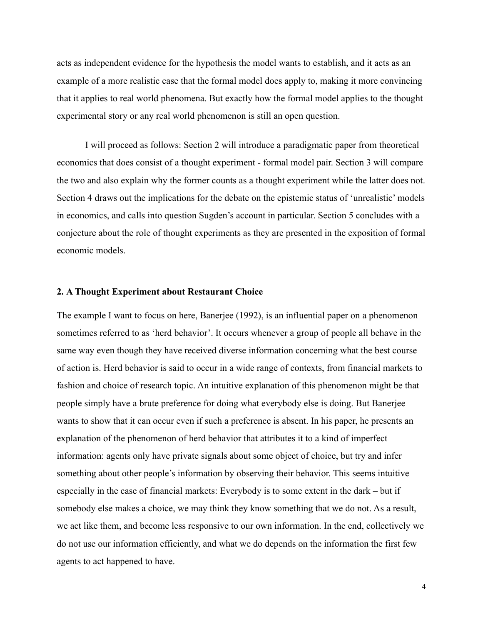acts as independent evidence for the hypothesis the model wants to establish, and it acts as an example of a more realistic case that the formal model does apply to, making it more convincing that it applies to real world phenomena. But exactly how the formal model applies to the thought experimental story or any real world phenomenon is still an open question.

 I will proceed as follows: Section 2 will introduce a paradigmatic paper from theoretical economics that does consist of a thought experiment - formal model pair. Section 3 will compare the two and also explain why the former counts as a thought experiment while the latter does not. Section 4 draws out the implications for the debate on the epistemic status of 'unrealistic' models in economics, and calls into question Sugden's account in particular. Section 5 concludes with a conjecture about the role of thought experiments as they are presented in the exposition of formal economic models.

#### **2. A Thought Experiment about Restaurant Choice**

The example I want to focus on here, Banerjee (1992), is an influential paper on a phenomenon sometimes referred to as 'herd behavior'. It occurs whenever a group of people all behave in the same way even though they have received diverse information concerning what the best course of action is. Herd behavior is said to occur in a wide range of contexts, from financial markets to fashion and choice of research topic. An intuitive explanation of this phenomenon might be that people simply have a brute preference for doing what everybody else is doing. But Banerjee wants to show that it can occur even if such a preference is absent. In his paper, he presents an explanation of the phenomenon of herd behavior that attributes it to a kind of imperfect information: agents only have private signals about some object of choice, but try and infer something about other people's information by observing their behavior. This seems intuitive especially in the case of financial markets: Everybody is to some extent in the dark – but if somebody else makes a choice, we may think they know something that we do not. As a result, we act like them, and become less responsive to our own information. In the end, collectively we do not use our information efficiently, and what we do depends on the information the first few agents to act happened to have.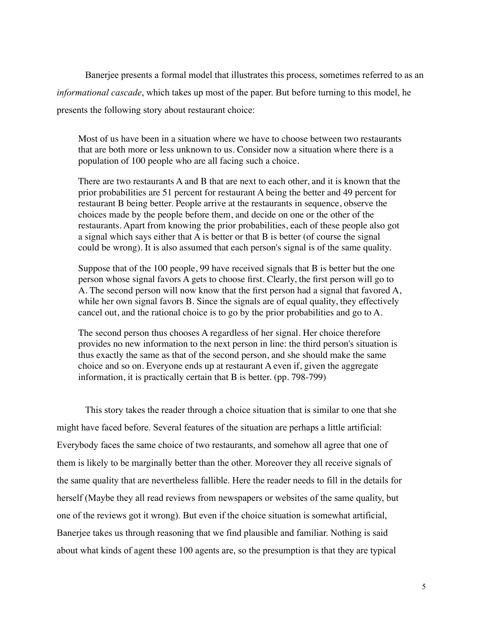Banerjee presents a formal model that illustrates this process, sometimes referred to as an *informational cascade*, which takes up most of the paper. But before turning to this model, he presents the following story about restaurant choice:

Most of us have been in a situation where we have to choose between two restaurants that are both more or less unknown to us. Consider now a situation where there is a population of 100 people who are all facing such a choice.

There are two restaurants A and B that are next to each other, and it is known that the prior probabilities are 51 percent for restaurant A being the better and 49 percent for restaurant B being better. People arrive at the restaurants in sequence, observe the choices made by the people before them, and decide on one or the other of the restaurants. Apart from knowing the prior probabilities, each of these people also got a signal which says either that A is better or that B is better (of course the signal could be wrong). It is also assumed that each person's signal is of the same quality.

Suppose that of the 100 people, 99 have received signals that B is better but the one person whose signal favors A gets to choose first. Clearly, the first person will go to A. The second person will now know that the first person had a signal that favored A, while her own signal favors B. Since the signals are of equal quality, they effectively cancel out, and the rational choice is to go by the prior probabilities and go to A.

The second person thus chooses A regardless of her signal. Her choice therefore provides no new information to the next person in line: the third person's situation is thus exactly the same as that of the second person, and she should make the same choice and so on. Everyone ends up at restaurant A even if, given the aggregate information, it is practically certain that B is better. (pp. 798-799)

 This story takes the reader through a choice situation that is similar to one that she might have faced before. Several features of the situation are perhaps a little artificial: Everybody faces the same choice of two restaurants, and somehow all agree that one of them is likely to be marginally better than the other. Moreover they all receive signals of the same quality that are nevertheless fallible. Here the reader needs to fill in the details for herself (Maybe they all read reviews from newspapers or websites of the same quality, but one of the reviews got it wrong). But even if the choice situation is somewhat artificial, Banerjee takes us through reasoning that we find plausible and familiar. Nothing is said about what kinds of agent these 100 agents are, so the presumption is that they are typical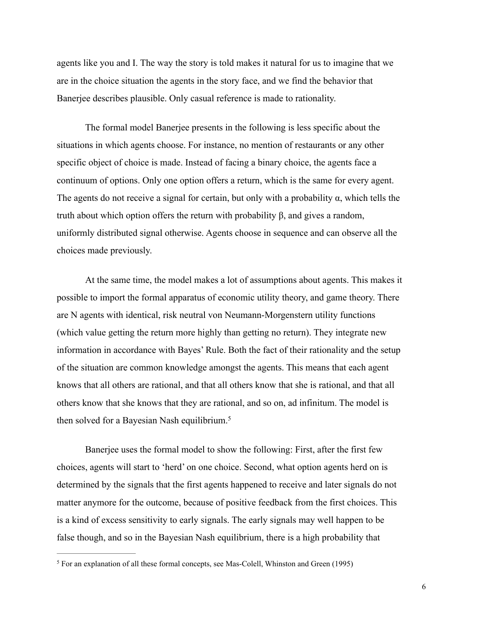agents like you and I. The way the story is told makes it natural for us to imagine that we are in the choice situation the agents in the story face, and we find the behavior that Banerjee describes plausible. Only casual reference is made to rationality.

 The formal model Banerjee presents in the following is less specific about the situations in which agents choose. For instance, no mention of restaurants or any other specific object of choice is made. Instead of facing a binary choice, the agents face a continuum of options. Only one option offers a return, which is the same for every agent. The agents do not receive a signal for certain, but only with a probability  $\alpha$ , which tells the truth about which option offers the return with probability β, and gives a random, uniformly distributed signal otherwise. Agents choose in sequence and can observe all the choices made previously.

 At the same time, the model makes a lot of assumptions about agents. This makes it possible to import the formal apparatus of economic utility theory, and game theory. There are N agents with identical, risk neutral von Neumann-Morgenstern utility functions (which value getting the return more highly than getting no return). They integrate new information in accordance with Bayes' Rule. Both the fact of their rationality and the setup of the situation are common knowledge amongst the agents. This means that each agent knows that all others are rational, and that all others know that she is rational, and that all others know that she knows that they are rational, and so on, ad infinitum. The model is then solved for a Bayesian Nash equilibrium. 5

 Banerjee uses the formal model to show the following: First, after the first few choices, agents will start to 'herd' on one choice. Second, what option agents herd on is determined by the signals that the first agents happened to receive and later signals do not matter anymore for the outcome, because of positive feedback from the first choices. This is a kind of excess sensitivity to early signals. The early signals may well happen to be false though, and so in the Bayesian Nash equilibrium, there is a high probability that

<sup>&</sup>lt;sup>5</sup> For an explanation of all these formal concepts, see Mas-Colell, Whinston and Green (1995)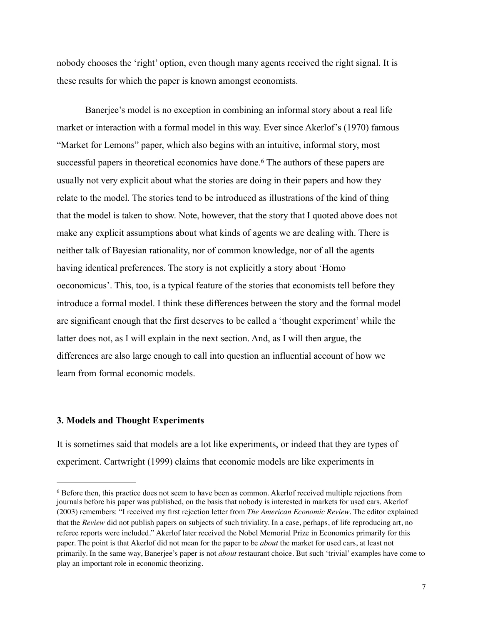nobody chooses the 'right' option, even though many agents received the right signal. It is these results for which the paper is known amongst economists.

 Banerjee's model is no exception in combining an informal story about a real life market or interaction with a formal model in this way. Ever since Akerlof's (1970) famous "Market for Lemons" paper, which also begins with an intuitive, informal story, most successful papers in theoretical economics have done.<sup>6</sup> The authors of these papers are usually not very explicit about what the stories are doing in their papers and how they relate to the model. The stories tend to be introduced as illustrations of the kind of thing that the model is taken to show. Note, however, that the story that I quoted above does not make any explicit assumptions about what kinds of agents we are dealing with. There is neither talk of Bayesian rationality, nor of common knowledge, nor of all the agents having identical preferences. The story is not explicitly a story about 'Homo oeconomicus'. This, too, is a typical feature of the stories that economists tell before they introduce a formal model. I think these differences between the story and the formal model are significant enough that the first deserves to be called a 'thought experiment' while the latter does not, as I will explain in the next section. And, as I will then argue, the differences are also large enough to call into question an influential account of how we learn from formal economic models.

#### **3. Models and Thought Experiments**

It is sometimes said that models are a lot like experiments, or indeed that they are types of experiment. Cartwright (1999) claims that economic models are like experiments in

<sup>&</sup>lt;sup>6</sup> Before then, this practice does not seem to have been as common. Akerlof received multiple rejections from journals before his paper was published, on the basis that nobody is interested in markets for used cars. Akerlof (2003) remembers: "I received my first rejection letter from *The American Economic Review.* The editor explained that the *Review* did not publish papers on subjects of such triviality. In a case, perhaps, of life reproducing art, no referee reports were included." Akerlof later received the Nobel Memorial Prize in Economics primarily for this paper. The point is that Akerlof did not mean for the paper to be *about* the market for used cars, at least not primarily. In the same way, Banerjee's paper is not *about* restaurant choice. But such 'trivial' examples have come to play an important role in economic theorizing.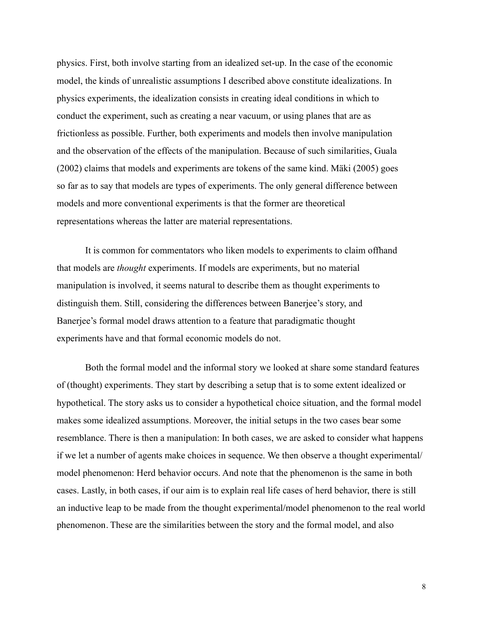physics. First, both involve starting from an idealized set-up. In the case of the economic model, the kinds of unrealistic assumptions I described above constitute idealizations. In physics experiments, the idealization consists in creating ideal conditions in which to conduct the experiment, such as creating a near vacuum, or using planes that are as frictionless as possible. Further, both experiments and models then involve manipulation and the observation of the effects of the manipulation. Because of such similarities, Guala (2002) claims that models and experiments are tokens of the same kind. Mäki (2005) goes so far as to say that models are types of experiments. The only general difference between models and more conventional experiments is that the former are theoretical representations whereas the latter are material representations.

 It is common for commentators who liken models to experiments to claim offhand that models are *thought* experiments. If models are experiments, but no material manipulation is involved, it seems natural to describe them as thought experiments to distinguish them. Still, considering the differences between Banerjee's story, and Banerjee's formal model draws attention to a feature that paradigmatic thought experiments have and that formal economic models do not.

 Both the formal model and the informal story we looked at share some standard features of (thought) experiments. They start by describing a setup that is to some extent idealized or hypothetical. The story asks us to consider a hypothetical choice situation, and the formal model makes some idealized assumptions. Moreover, the initial setups in the two cases bear some resemblance. There is then a manipulation: In both cases, we are asked to consider what happens if we let a number of agents make choices in sequence. We then observe a thought experimental/ model phenomenon: Herd behavior occurs. And note that the phenomenon is the same in both cases. Lastly, in both cases, if our aim is to explain real life cases of herd behavior, there is still an inductive leap to be made from the thought experimental/model phenomenon to the real world phenomenon. These are the similarities between the story and the formal model, and also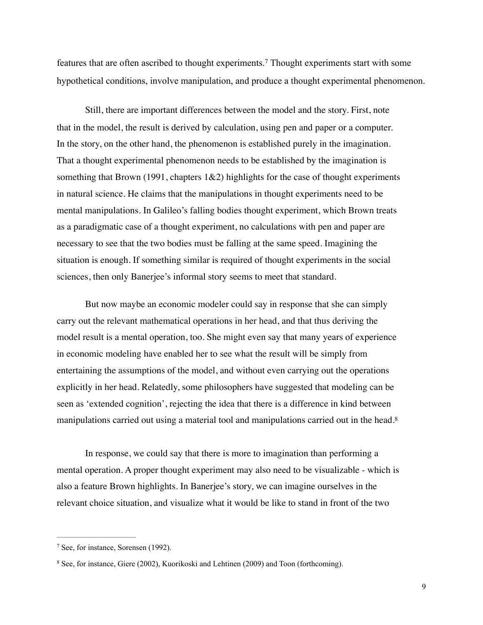features that are often ascribed to thought experiments.<sup>7</sup> Thought experiments start with some hypothetical conditions, involve manipulation, and produce a thought experimental phenomenon.

Still, there are important differences between the model and the story. First, note that in the model, the result is derived by calculation, using pen and paper or a computer. In the story, on the other hand, the phenomenon is established purely in the imagination. That a thought experimental phenomenon needs to be established by the imagination is something that Brown (1991, chapters  $1\&2$ ) highlights for the case of thought experiments in natural science. He claims that the manipulations in thought experiments need to be mental manipulations. In Galileo's falling bodies thought experiment, which Brown treats as a paradigmatic case of a thought experiment, no calculations with pen and paper are necessary to see that the two bodies must be falling at the same speed. Imagining the situation is enough. If something similar is required of thought experiments in the social sciences, then only Banerjee's informal story seems to meet that standard.

But now maybe an economic modeler could say in response that she can simply carry out the relevant mathematical operations in her head, and that thus deriving the model result is a mental operation, too. She might even say that many years of experience in economic modeling have enabled her to see what the result will be simply from entertaining the assumptions of the model, and without even carrying out the operations explicitly in her head. Relatedly, some philosophers have suggested that modeling can be seen as 'extended cognition', rejecting the idea that there is a difference in kind between manipulations carried out using a material tool and manipulations carried out in the head.<sup>8</sup>

In response, we could say that there is more to imagination than performing a mental operation. A proper thought experiment may also need to be visualizable - which is also a feature Brown highlights. In Banerjee's story, we can imagine ourselves in the relevant choice situation, and visualize what it would be like to stand in front of the two

<sup>&</sup>lt;sup>7</sup> See, for instance, Sorensen (1992).

<sup>&</sup>lt;sup>8</sup> See, for instance, Giere (2002), Kuorikoski and Lehtinen (2009) and Toon (forthcoming).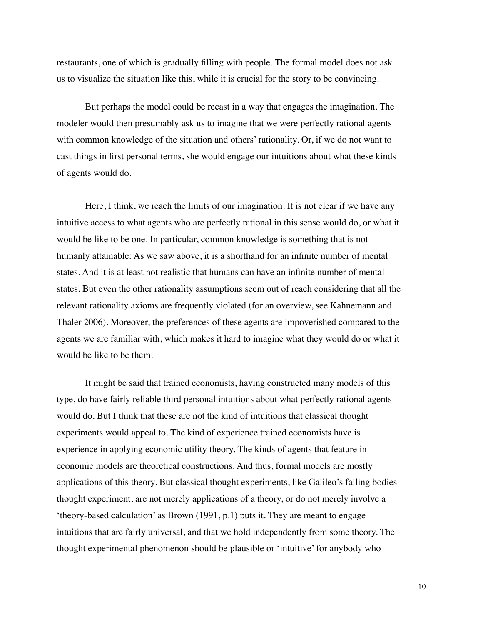restaurants, one of which is gradually filling with people. The formal model does not ask us to visualize the situation like this, while it is crucial for the story to be convincing.

But perhaps the model could be recast in a way that engages the imagination. The modeler would then presumably ask us to imagine that we were perfectly rational agents with common knowledge of the situation and others' rationality. Or, if we do not want to cast things in first personal terms, she would engage our intuitions about what these kinds of agents would do.

Here, I think, we reach the limits of our imagination. It is not clear if we have any intuitive access to what agents who are perfectly rational in this sense would do, or what it would be like to be one. In particular, common knowledge is something that is not humanly attainable: As we saw above, it is a shorthand for an infinite number of mental states. And it is at least not realistic that humans can have an infinite number of mental states. But even the other rationality assumptions seem out of reach considering that all the relevant rationality axioms are frequently violated (for an overview, see Kahnemann and Thaler 2006). Moreover, the preferences of these agents are impoverished compared to the agents we are familiar with, which makes it hard to imagine what they would do or what it would be like to be them.

It might be said that trained economists, having constructed many models of this type, do have fairly reliable third personal intuitions about what perfectly rational agents would do. But I think that these are not the kind of intuitions that classical thought experiments would appeal to. The kind of experience trained economists have is experience in applying economic utility theory. The kinds of agents that feature in economic models are theoretical constructions. And thus, formal models are mostly applications of this theory. But classical thought experiments, like Galileo's falling bodies thought experiment, are not merely applications of a theory, or do not merely involve a 'theory-based calculation' as Brown (1991, p.1) puts it. They are meant to engage intuitions that are fairly universal, and that we hold independently from some theory. The thought experimental phenomenon should be plausible or 'intuitive' for anybody who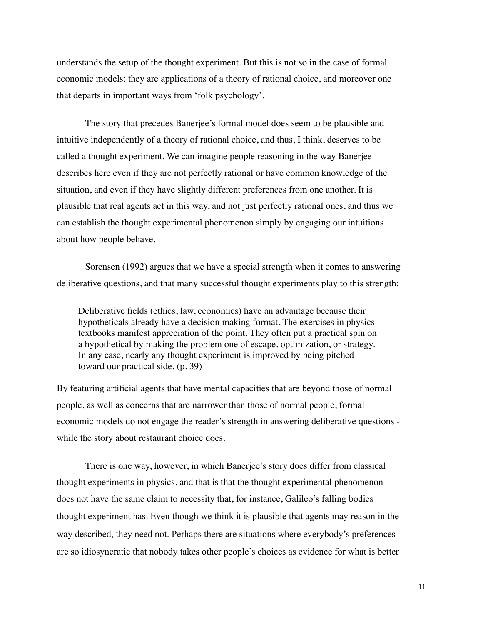understands the setup of the thought experiment. But this is not so in the case of formal economic models: they are applications of a theory of rational choice, and moreover one that departs in important ways from 'folk psychology'.

The story that precedes Banerjee's formal model does seem to be plausible and intuitive independently of a theory of rational choice, and thus, I think, deserves to be called a thought experiment. We can imagine people reasoning in the way Banerjee describes here even if they are not perfectly rational or have common knowledge of the situation, and even if they have slightly different preferences from one another. It is plausible that real agents act in this way, and not just perfectly rational ones, and thus we can establish the thought experimental phenomenon simply by engaging our intuitions about how people behave.

Sorensen (1992) argues that we have a special strength when it comes to answering deliberative questions, and that many successful thought experiments play to this strength:

Deliberative fields (ethics, law, economics) have an advantage because their hypotheticals already have a decision making format. The exercises in physics textbooks manifest appreciation of the point. They often put a practical spin on a hypothetical by making the problem one of escape, optimization, or strategy. In any case, nearly any thought experiment is improved by being pitched toward our practical side. (p. 39)

By featuring artificial agents that have mental capacities that are beyond those of normal people, as well as concerns that are narrower than those of normal people, formal economic models do not engage the reader's strength in answering deliberative questions while the story about restaurant choice does.

There is one way, however, in which Banerjee's story does differ from classical thought experiments in physics, and that is that the thought experimental phenomenon does not have the same claim to necessity that, for instance, Galileo's falling bodies thought experiment has. Even though we think it is plausible that agents may reason in the way described, they need not. Perhaps there are situations where everybody's preferences are so idiosyncratic that nobody takes other people's choices as evidence for what is better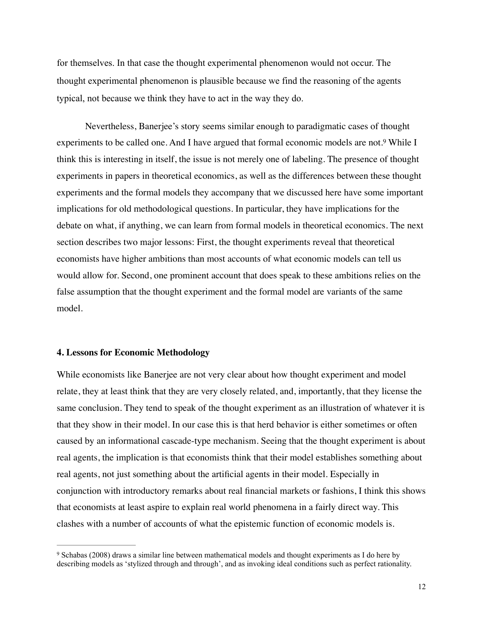for themselves. In that case the thought experimental phenomenon would not occur. The thought experimental phenomenon is plausible because we find the reasoning of the agents typical, not because we think they have to act in the way they do.

Nevertheless, Banerjee's story seems similar enough to paradigmatic cases of thought experiments to be called one. And I have argued that formal economic models are not.<sup>9</sup> While I think this is interesting in itself, the issue is not merely one of labeling. The presence of thought experiments in papers in theoretical economics, as well as the differences between these thought experiments and the formal models they accompany that we discussed here have some important implications for old methodological questions. In particular, they have implications for the debate on what, if anything, we can learn from formal models in theoretical economics. The next section describes two major lessons: First, the thought experiments reveal that theoretical economists have higher ambitions than most accounts of what economic models can tell us would allow for. Second, one prominent account that does speak to these ambitions relies on the false assumption that the thought experiment and the formal model are variants of the same model.

#### **4. Lessons for Economic Methodology**

While economists like Banerjee are not very clear about how thought experiment and model relate, they at least think that they are very closely related, and, importantly, that they license the same conclusion. They tend to speak of the thought experiment as an illustration of whatever it is that they show in their model. In our case this is that herd behavior is either sometimes or often caused by an informational cascade-type mechanism. Seeing that the thought experiment is about real agents, the implication is that economists think that their model establishes something about real agents, not just something about the artificial agents in their model. Especially in conjunction with introductory remarks about real financial markets or fashions, I think this shows that economists at least aspire to explain real world phenomena in a fairly direct way. This clashes with a number of accounts of what the epistemic function of economic models is.

Schabas (2008) draws a similar line between mathematical models and thought experiments as I do here by 9 describing models as 'stylized through and through', and as invoking ideal conditions such as perfect rationality.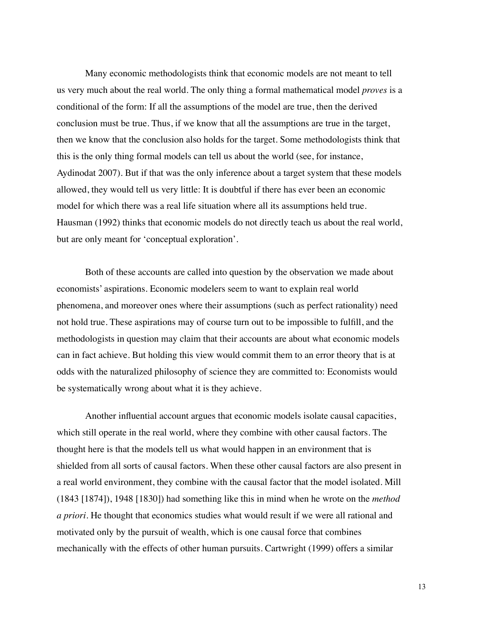Many economic methodologists think that economic models are not meant to tell us very much about the real world. The only thing a formal mathematical model *proves* is a conditional of the form: If all the assumptions of the model are true, then the derived conclusion must be true. Thus, if we know that all the assumptions are true in the target, then we know that the conclusion also holds for the target. Some methodologists think that this is the only thing formal models can tell us about the world (see, for instance, Aydinodat 2007). But if that was the only inference about a target system that these models allowed, they would tell us very little: It is doubtful if there has ever been an economic model for which there was a real life situation where all its assumptions held true. Hausman (1992) thinks that economic models do not directly teach us about the real world, but are only meant for 'conceptual exploration'.

Both of these accounts are called into question by the observation we made about economists' aspirations. Economic modelers seem to want to explain real world phenomena, and moreover ones where their assumptions (such as perfect rationality) need not hold true. These aspirations may of course turn out to be impossible to fulfill, and the methodologists in question may claim that their accounts are about what economic models can in fact achieve. But holding this view would commit them to an error theory that is at odds with the naturalized philosophy of science they are committed to: Economists would be systematically wrong about what it is they achieve.

Another influential account argues that economic models isolate causal capacities, which still operate in the real world, where they combine with other causal factors. The thought here is that the models tell us what would happen in an environment that is shielded from all sorts of causal factors. When these other causal factors are also present in a real world environment, they combine with the causal factor that the model isolated. Mill (1843 [1874]), 1948 [1830]) had something like this in mind when he wrote on the *method a priori*. He thought that economics studies what would result if we were all rational and motivated only by the pursuit of wealth, which is one causal force that combines mechanically with the effects of other human pursuits. Cartwright (1999) offers a similar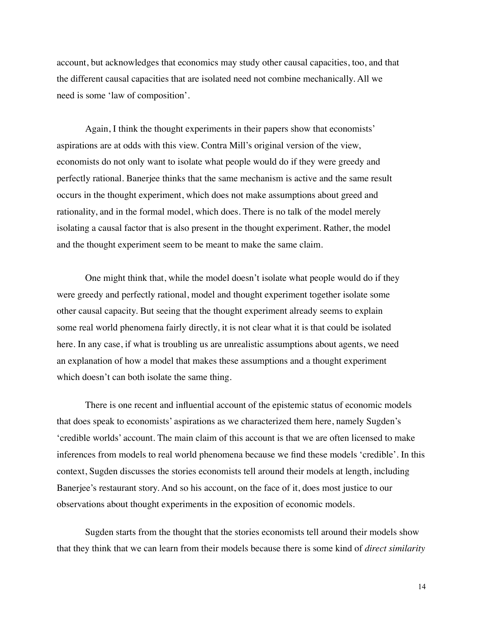account, but acknowledges that economics may study other causal capacities, too, and that the different causal capacities that are isolated need not combine mechanically. All we need is some 'law of composition'.

Again, I think the thought experiments in their papers show that economists' aspirations are at odds with this view. Contra Mill's original version of the view, economists do not only want to isolate what people would do if they were greedy and perfectly rational. Banerjee thinks that the same mechanism is active and the same result occurs in the thought experiment, which does not make assumptions about greed and rationality, and in the formal model, which does. There is no talk of the model merely isolating a causal factor that is also present in the thought experiment. Rather, the model and the thought experiment seem to be meant to make the same claim.

One might think that, while the model doesn't isolate what people would do if they were greedy and perfectly rational, model and thought experiment together isolate some other causal capacity. But seeing that the thought experiment already seems to explain some real world phenomena fairly directly, it is not clear what it is that could be isolated here. In any case, if what is troubling us are unrealistic assumptions about agents, we need an explanation of how a model that makes these assumptions and a thought experiment which doesn't can both isolate the same thing.

There is one recent and influential account of the epistemic status of economic models that does speak to economists' aspirations as we characterized them here, namely Sugden's 'credible worlds' account. The main claim of this account is that we are often licensed to make inferences from models to real world phenomena because we find these models 'credible'. In this context, Sugden discusses the stories economists tell around their models at length, including Banerjee's restaurant story. And so his account, on the face of it, does most justice to our observations about thought experiments in the exposition of economic models.

Sugden starts from the thought that the stories economists tell around their models show that they think that we can learn from their models because there is some kind of *direct similarity*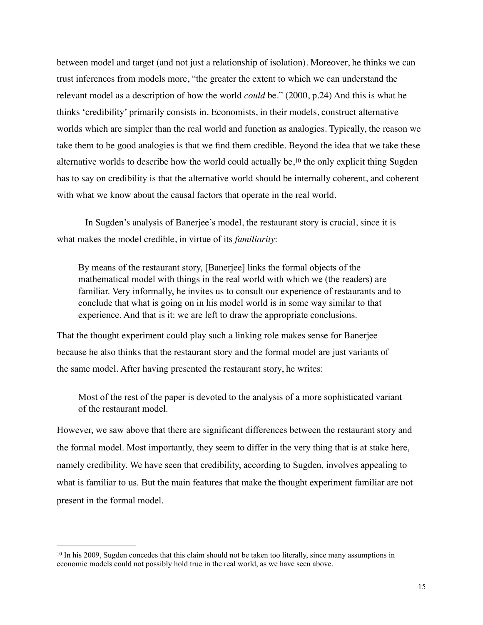between model and target (and not just a relationship of isolation). Moreover, he thinks we can trust inferences from models more, "the greater the extent to which we can understand the relevant model as a description of how the world *could* be." (2000, p.24) And this is what he thinks 'credibility' primarily consists in. Economists, in their models, construct alternative worlds which are simpler than the real world and function as analogies. Typically, the reason we take them to be good analogies is that we find them credible. Beyond the idea that we take these alternative worlds to describe how the world could actually be, $10$  the only explicit thing Sugden has to say on credibility is that the alternative world should be internally coherent, and coherent with what we know about the causal factors that operate in the real world.

In Sugden's analysis of Banerjee's model, the restaurant story is crucial, since it is what makes the model credible, in virtue of its *familiarity*:

By means of the restaurant story, [Banerjee] links the formal objects of the mathematical model with things in the real world with which we (the readers) are familiar. Very informally, he invites us to consult our experience of restaurants and to conclude that what is going on in his model world is in some way similar to that experience. And that is it: we are left to draw the appropriate conclusions.

That the thought experiment could play such a linking role makes sense for Banerjee because he also thinks that the restaurant story and the formal model are just variants of the same model. After having presented the restaurant story, he writes:

Most of the rest of the paper is devoted to the analysis of a more sophisticated variant of the restaurant model.

However, we saw above that there are significant differences between the restaurant story and the formal model. Most importantly, they seem to differ in the very thing that is at stake here, namely credibility. We have seen that credibility, according to Sugden, involves appealing to what is familiar to us. But the main features that make the thought experiment familiar are not present in the formal model.

 $10$  In his 2009, Sugden concedes that this claim should not be taken too literally, since many assumptions in economic models could not possibly hold true in the real world, as we have seen above.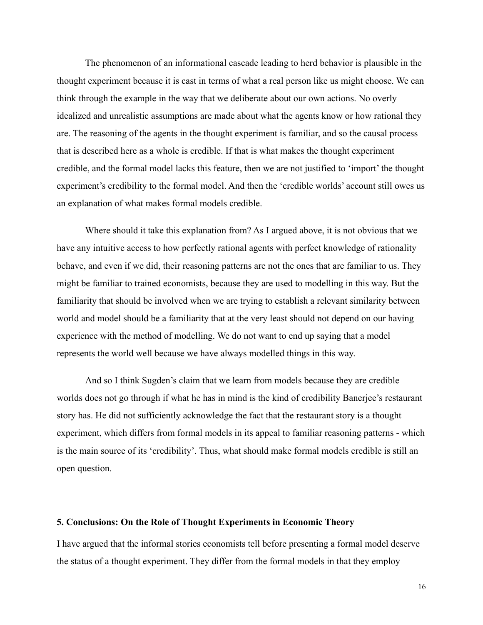The phenomenon of an informational cascade leading to herd behavior is plausible in the thought experiment because it is cast in terms of what a real person like us might choose. We can think through the example in the way that we deliberate about our own actions. No overly idealized and unrealistic assumptions are made about what the agents know or how rational they are. The reasoning of the agents in the thought experiment is familiar, and so the causal process that is described here as a whole is credible. If that is what makes the thought experiment credible, and the formal model lacks this feature, then we are not justified to 'import' the thought experiment's credibility to the formal model. And then the 'credible worlds' account still owes us an explanation of what makes formal models credible.

 Where should it take this explanation from? As I argued above, it is not obvious that we have any intuitive access to how perfectly rational agents with perfect knowledge of rationality behave, and even if we did, their reasoning patterns are not the ones that are familiar to us. They might be familiar to trained economists, because they are used to modelling in this way. But the familiarity that should be involved when we are trying to establish a relevant similarity between world and model should be a familiarity that at the very least should not depend on our having experience with the method of modelling. We do not want to end up saying that a model represents the world well because we have always modelled things in this way.

 And so I think Sugden's claim that we learn from models because they are credible worlds does not go through if what he has in mind is the kind of credibility Banerjee's restaurant story has. He did not sufficiently acknowledge the fact that the restaurant story is a thought experiment, which differs from formal models in its appeal to familiar reasoning patterns - which is the main source of its 'credibility'. Thus, what should make formal models credible is still an open question.

#### **5. Conclusions: On the Role of Thought Experiments in Economic Theory**

I have argued that the informal stories economists tell before presenting a formal model deserve the status of a thought experiment. They differ from the formal models in that they employ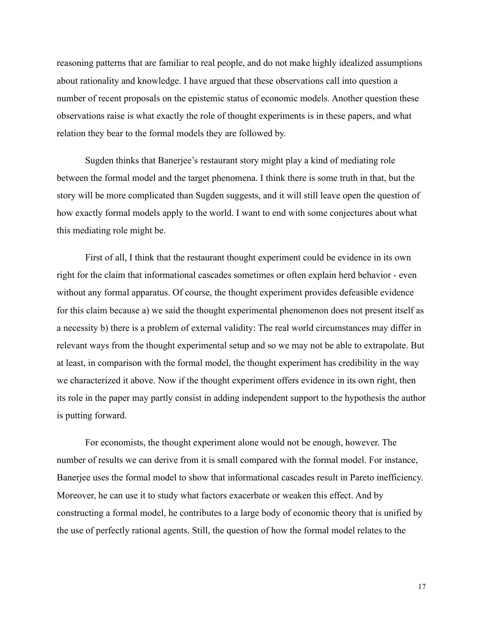reasoning patterns that are familiar to real people, and do not make highly idealized assumptions about rationality and knowledge. I have argued that these observations call into question a number of recent proposals on the epistemic status of economic models. Another question these observations raise is what exactly the role of thought experiments is in these papers, and what relation they bear to the formal models they are followed by.

 Sugden thinks that Banerjee's restaurant story might play a kind of mediating role between the formal model and the target phenomena. I think there is some truth in that, but the story will be more complicated than Sugden suggests, and it will still leave open the question of how exactly formal models apply to the world. I want to end with some conjectures about what this mediating role might be.

 First of all, I think that the restaurant thought experiment could be evidence in its own right for the claim that informational cascades sometimes or often explain herd behavior - even without any formal apparatus. Of course, the thought experiment provides defeasible evidence for this claim because a) we said the thought experimental phenomenon does not present itself as a necessity b) there is a problem of external validity: The real world circumstances may differ in relevant ways from the thought experimental setup and so we may not be able to extrapolate. But at least, in comparison with the formal model, the thought experiment has credibility in the way we characterized it above. Now if the thought experiment offers evidence in its own right, then its role in the paper may partly consist in adding independent support to the hypothesis the author is putting forward.

 For economists, the thought experiment alone would not be enough, however. The number of results we can derive from it is small compared with the formal model. For instance, Banerjee uses the formal model to show that informational cascades result in Pareto inefficiency. Moreover, he can use it to study what factors exacerbate or weaken this effect. And by constructing a formal model, he contributes to a large body of economic theory that is unified by the use of perfectly rational agents. Still, the question of how the formal model relates to the

17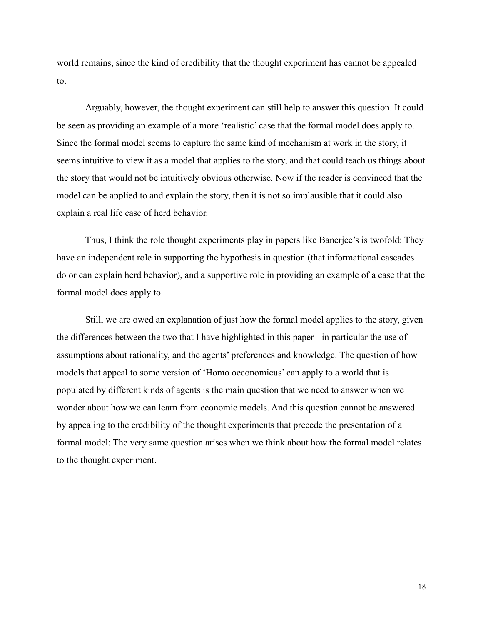world remains, since the kind of credibility that the thought experiment has cannot be appealed to.

Arguably, however, the thought experiment can still help to answer this question. It could be seen as providing an example of a more 'realistic' case that the formal model does apply to. Since the formal model seems to capture the same kind of mechanism at work in the story, it seems intuitive to view it as a model that applies to the story, and that could teach us things about the story that would not be intuitively obvious otherwise. Now if the reader is convinced that the model can be applied to and explain the story, then it is not so implausible that it could also explain a real life case of herd behavior.

 Thus, I think the role thought experiments play in papers like Banerjee's is twofold: They have an independent role in supporting the hypothesis in question (that informational cascades do or can explain herd behavior), and a supportive role in providing an example of a case that the formal model does apply to.

 Still, we are owed an explanation of just how the formal model applies to the story, given the differences between the two that I have highlighted in this paper - in particular the use of assumptions about rationality, and the agents' preferences and knowledge. The question of how models that appeal to some version of 'Homo oeconomicus' can apply to a world that is populated by different kinds of agents is the main question that we need to answer when we wonder about how we can learn from economic models. And this question cannot be answered by appealing to the credibility of the thought experiments that precede the presentation of a formal model: The very same question arises when we think about how the formal model relates to the thought experiment.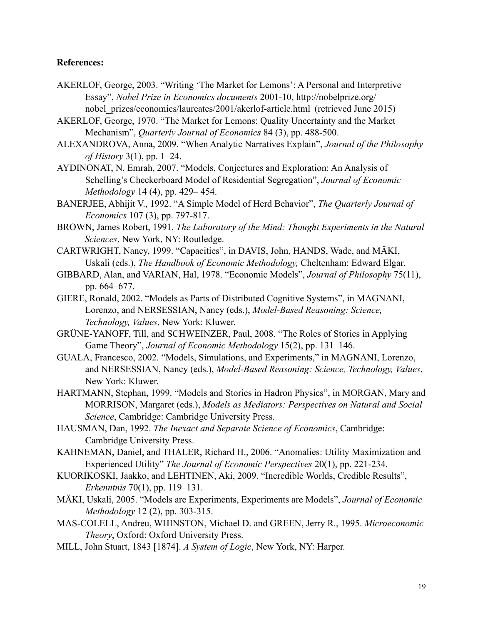#### **References:**

- AKERLOF, George, 2003. "Writing 'The Market for Lemons': A Personal and Interpretive Essay", *[Nobel Prize in Economics documents](http://econpapers.repec.org/paper/risnobelp/)* 2001-10, http://nobelprize.org/ nobel\_prizes/economics/laureates/2001/akerlof-article.html (retrieved June 2015)
- AKERLOF, George, 1970. "The Market for Lemons: Quality Uncertainty and the Market Mechanism", *Quarterly Journal of Economics* 84 (3), pp. 488-500.
- ALEXANDROVA, Anna, 2009. "When Analytic Narratives Explain", *Journal of the Philosophy of History* 3(1), pp. 1–24.
- AYDINONAT, N. Emrah, 2007. "Models, Conjectures and Exploration: An Analysis of Schelling's Checkerboard Model of Residential Segregation", *Journal of Economic Methodology* 14 (4), pp. 429– 454.
- BANERJEE, Abhijit V., 1992. "A Simple Model of Herd Behavior", *The Quarterly Journal of Economics* 107 (3), pp. 797-817.
- BROWN, James Robert, 1991. *The Laboratory of the Mind: Thought Experiments in the Natural Sciences*, New York, NY: Routledge.
- CARTWRIGHT, Nancy, 1999. "Capacities", in DAVIS, John, HANDS, Wade, and MÄKI, Uskali (eds.), *The Handbook of Economic Methodology,* Cheltenham: Edward Elgar.
- GIBBARD, Alan, and VARIAN, Hal, 1978. "Economic Models", *Journal of Philosophy* 75(11), pp. 664–677.
- GIERE, Ronald, 2002. "Models as Parts of Distributed Cognitive Systems", in MAGNANI, Lorenzo, and NERSESSIAN, Nancy (eds.), *Model-Based Reasoning: Science, Technology, Values*, New York: Kluwer.
- GRÜNE-YANOFF, Till, and SCHWEINZER, Paul, 2008. "The Roles of Stories in Applying Game Theory", *Journal of Economic Methodology* 15(2), pp. 131–146.
- GUALA, Francesco, 2002. "Models, Simulations, and Experiments," in MAGNANI, Lorenzo, and NERSESSIAN, Nancy (eds.), *Model-Based Reasoning: Science, Technology, Values*. New York: Kluwer.
- HARTMANN, Stephan, 1999. "Models and Stories in Hadron Physics", in MORGAN, Mary and MORRISON, Margaret (eds.), *Models as Mediators: Perspectives on Natural and Social Science*, Cambridge: Cambridge University Press.
- HAUSMAN, Dan, 1992. *The Inexact and Separate Science of Economics*, Cambridge: Cambridge University Press.
- KAHNEMAN, Daniel, and THALER, Richard H., 2006. "Anomalies: Utility Maximization and Experienced Utility" *The Journal of Economic Perspectives* 20(1), pp. 221-234.
- KUORIKOSKI, Jaakko, and LEHTINEN, Aki, 2009. "Incredible Worlds, Credible Results", *Erkenntnis* 70(1), pp. 119–131.
- MÄKI, Uskali, 2005. "Models are Experiments, Experiments are Models", *Journal of Economic Methodology* 12 (2), pp. 303-315.
- MAS-COLELL, Andreu, WHINSTON, Michael D. and GREEN, Jerry R., 1995. *Microeconomic Theory*, Oxford: Oxford University Press.
- MILL, John Stuart, 1843 [1874]. *A System of Logic*, New York, NY: Harper.